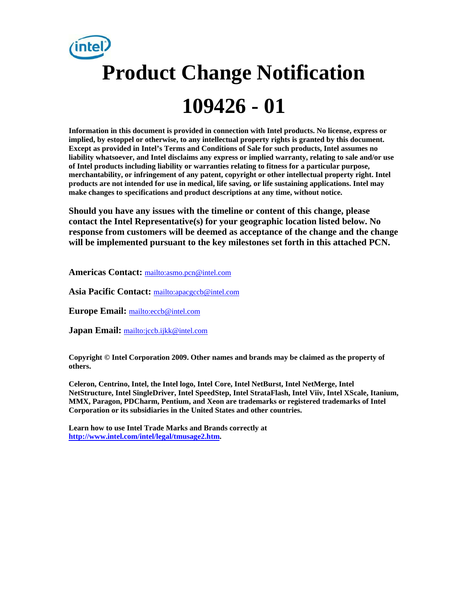# **Product Change Notification 109426 - 01**

**Information in this document is provided in connection with Intel products. No license, express or implied, by estoppel or otherwise, to any intellectual property rights is granted by this document. Except as provided in Intel's Terms and Conditions of Sale for such products, Intel assumes no liability whatsoever, and Intel disclaims any express or implied warranty, relating to sale and/or use of Intel products including liability or warranties relating to fitness for a particular purpose, merchantability, or infringement of any patent, copyright or other intellectual property right. Intel products are not intended for use in medical, life saving, or life sustaining applications. Intel may make changes to specifications and product descriptions at any time, without notice.** 

**Should you have any issues with the timeline or content of this change, please contact the Intel Representative(s) for your geographic location listed below. No response from customers will be deemed as acceptance of the change and the change will be implemented pursuant to the key milestones set forth in this attached PCN.** 

**Americas Contact:** mailto:asmo.pcn@intel.com

**Asia Pacific Contact:** mailto:apacgccb@intel.com

**Europe Email:** mailto:eccb@intel.com

**Japan Email:** mailto:jccb.ijkk@intel.com

**Copyright © Intel Corporation 2009. Other names and brands may be claimed as the property of others.**

**Celeron, Centrino, Intel, the Intel logo, Intel Core, Intel NetBurst, Intel NetMerge, Intel NetStructure, Intel SingleDriver, Intel SpeedStep, Intel StrataFlash, Intel Viiv, Intel XScale, Itanium, MMX, Paragon, PDCharm, Pentium, and Xeon are trademarks or registered trademarks of Intel Corporation or its subsidiaries in the United States and other countries.** 

**Learn how to use Intel Trade Marks and Brands correctly at http://www.intel.com/intel/legal/tmusage2.htm.**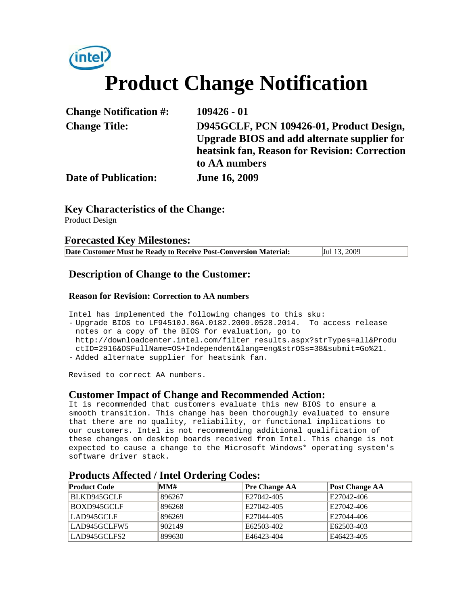

| <b>Change Notification #:</b> | $109426 - 01$                                      |
|-------------------------------|----------------------------------------------------|
| <b>Change Title:</b>          | D945GCLF, PCN 109426-01, Product Design,           |
|                               | <b>Upgrade BIOS and add alternate supplier for</b> |
|                               | heatsink fan, Reason for Revision: Correction      |
|                               | to AA numbers                                      |
| <b>Date of Publication:</b>   | <b>June 16, 2009</b>                               |

**Key Characteristics of the Change:**

Product Design

#### **Forecasted Key Milestones:**

| Date Customer Must be Ready to Receive Post-Conversion Material: | Jul 13, 2009 |
|------------------------------------------------------------------|--------------|
|------------------------------------------------------------------|--------------|

### **Description of Change to the Customer:**

#### **Reason for Revision: Correction to AA numbers**

Intel has implemented the following changes to this sku: - Upgrade BIOS to LF94510J.86A.0182.2009.0528.2014. To access release notes or a copy of the BIOS for evaluation, go to http://downloadcenter.intel.com/filter\_results.aspx?strTypes=all&Produ ctID=2916&OSFullName=OS+Independent&lang=eng&strOSs=38&submit=Go%21. - Added alternate supplier for heatsink fan.

Revised to correct AA numbers.

### **Customer Impact of Change and Recommended Action:**

It is recommended that customers evaluate this new BIOS to ensure a smooth transition. This change has been thoroughly evaluated to ensure that there are no quality, reliability, or functional implications to our customers. Intel is not recommending additional qualification of these changes on desktop boards received from Intel. This change is not expected to cause a change to the Microsoft Windows\* operating system's software driver stack.

| <b>Product Code</b> | MM#    | <b>Pre Change AA</b> | <b>Post Change AA</b> |  |  |
|---------------------|--------|----------------------|-----------------------|--|--|
| BLKD945GCLF         | 896267 | E27042-405           | E27042-406            |  |  |
| BOXD945GCLF         | 896268 | E27042-405           | E27042-406            |  |  |
| LAD945GCLF          | 896269 | E27044-405           | E27044-406            |  |  |
| LAD945GCLFW5        | 902149 | E62503-402           | E62503-403            |  |  |
| LAD945GCLFS2        | 899630 | E46423-404           | E46423-405            |  |  |

### **Products Affected / Intel Ordering Codes:**